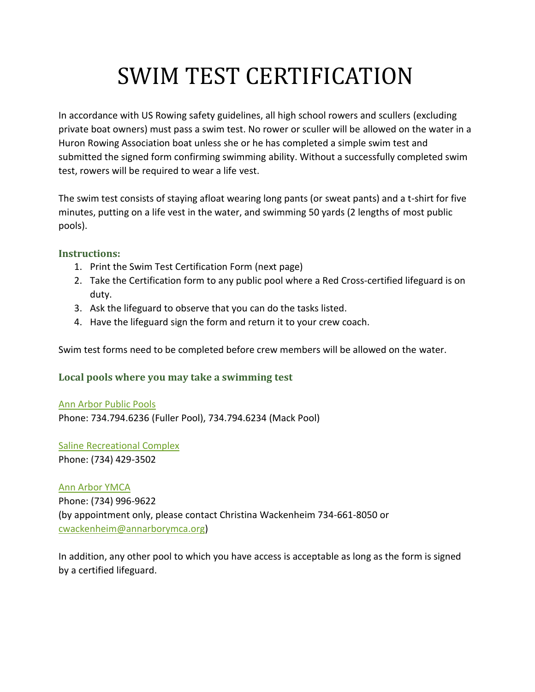## SWIM TEST CERTIFICATION

In accordance with US Rowing safety guidelines, all high school rowers and scullers (excluding private boat owners) must pass a swim test. No rower or sculler will be allowed on the water in a Huron Rowing Association boat unless she or he has completed a simple swim test and submitted the signed form confirming swimming ability. Without a successfully completed swim test, rowers will be required to wear a life vest.

The swim test consists of staying afloat wearing long pants (or sweat pants) and a t-shirt for five minutes, putting on a life vest in the water, and swimming 50 yards (2 lengths of most public pools).

#### **Instructions:**

- 1. Print the Swim Test Certification Form (next page)
- 2. Take the Certification form to any public pool where a Red Cross-certified lifeguard is on duty.
- 3. Ask the lifeguard to observe that you can do the tasks listed.
- 4. Have the lifeguard sign the form and return it to your crew coach.

Swim test forms need to be completed before crew members will be allowed on the water.

#### **Local pools where you may take a swimming test**

[Ann Arbor Public Pools](http://www.a2gov.org/government/communityservices/ParksandRecreation/Pools/Pages/default.aspx) Phone: 734.794.6236 (Fuller Pool), 734.794.6234 (Mack Pool)

[Saline Recreational Complex](http://ci.saline.mi.us/?module=Page&sID=parks--recreation--recreation-center--aquatics)  Phone: (734) 429-3502

[Ann Arbor YMCA](http://www.annarborymca.org/)  Phone: (734) 996-9622 (by appointment only, please contact Christina Wackenheim 734-661-8050 or [cwackenheim@annarborymca.org\)](mailto:cwackenheim@annarborymca.org)

In addition, any other pool to which you have access is acceptable as long as the form is signed by a certified lifeguard.